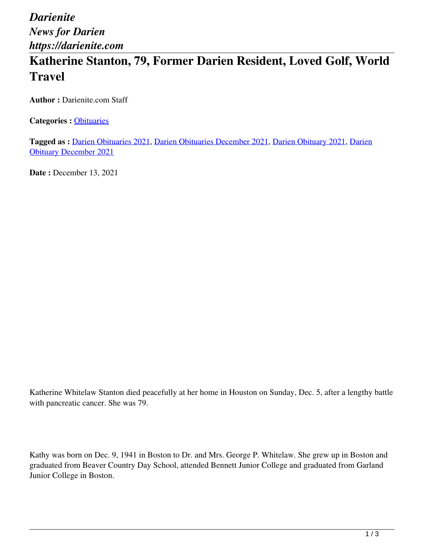*Darienite News for Darien https://darienite.com*

## **Katherine Stanton, 79, Former Darien Resident, Loved Golf, World Travel**

**Author :** Darienite.com Staff

**Categories :** [Obituaries](https://darienite.com/category/obituaries)

**Tagged as :** Darien Obituaries 2021, Darien Obituaries December 2021, Darien Obituary 2021, Darien Obituary December 2021

**Date :** December 13, 2021

Katherine Whitelaw Stanton died peacefully at her home in Houston on Sunday, Dec. 5, after a lengthy battle with pancreatic cancer. She was 79.

Kathy was born on Dec. 9, 1941 in Boston to Dr. and Mrs. George P. Whitelaw. She grew up in Boston and graduated from Beaver Country Day School, attended Bennett Junior College and graduated from Garland Junior College in Boston.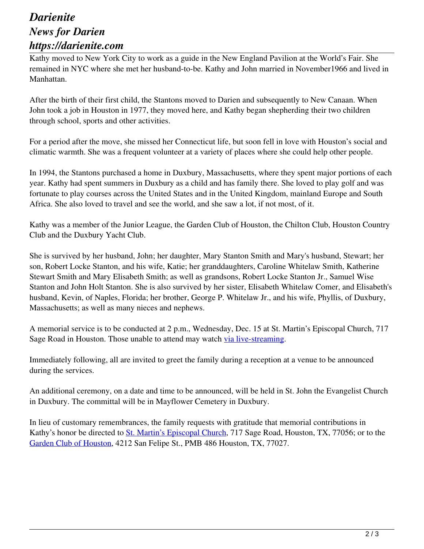## *Darienite News for Darien https://darienite.com*

Kathy moved to New York City to work as a guide in the New England Pavilion at the World's Fair. She remained in NYC where she met her husband-to-be. Kathy and John married in November1966 and lived in Manhattan.

After the birth of their first child, the Stantons moved to Darien and subsequently to New Canaan. When John took a job in Houston in 1977, they moved here, and Kathy began shepherding their two children through school, sports and other activities.

For a period after the move, she missed her Connecticut life, but soon fell in love with Houston's social and climatic warmth. She was a frequent volunteer at a variety of places where she could help other people.

In 1994, the Stantons purchased a home in Duxbury, Massachusetts, where they spent major portions of each year. Kathy had spent summers in Duxbury as a child and has family there. She loved to play golf and was fortunate to play courses across the United States and in the United Kingdom, mainland Europe and South Africa. She also loved to travel and see the world, and she saw a lot, if not most, of it.

Kathy was a member of the Junior League, the Garden Club of Houston, the Chilton Club, Houston Country Club and the Duxbury Yacht Club.

She is survived by her husband, John; her daughter, Mary Stanton Smith and Mary's husband, Stewart; her son, Robert Locke Stanton, and his wife, Katie; her granddaughters, Caroline Whitelaw Smith, Katherine Stewart Smith and Mary Elisabeth Smith; as well as grandsons, Robert Locke Stanton Jr., Samuel Wise Stanton and John Holt Stanton. She is also survived by her sister, Elisabeth Whitelaw Comer, and Elisabeth's husband, Kevin, of Naples, Florida; her brother, George P. Whitelaw Jr., and his wife, Phyllis, of Duxbury, Massachusetts; as well as many nieces and nephews.

A memorial service is to be conducted at 2 p.m., Wednesday, Dec. 15 at St. Martin's Episcopal Church, 717 Sage Road in Houston. Those unable to attend may watch via live-streaming.

Immediately following, all are invited to greet the family during a reception at a venue to be announced during the services.

An additional ceremony, on a date and time to be announced, will be held in St. John the Evangelist Church in Duxbury. The committal will be in Mayflower Cemetery in Duxbury.

In lieu of customary remembrances, the family requests with gratitude that memorial contributions in Kathy's honor be directed to St. Martin's Episcopal Church, 717 Sage Road, Houston, TX, 77056; or to the Garden Club of Houston, 4212 San Felipe St., PMB 486 Houston, TX, 77027.